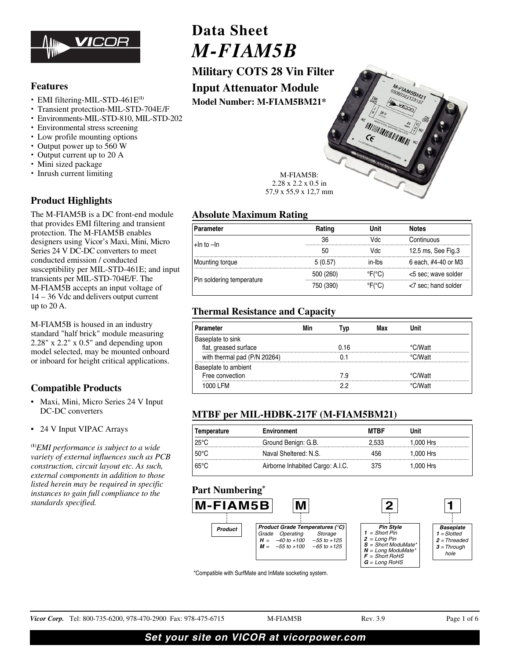

# **Features**

- EMI filtering-MIL-STD-461E**(1)**
- Transient protection-MIL-STD-704E/F
- Environments-MIL-STD-810, MIL-STD-202
- Environmental stress screening
- Low profile mounting options
- Output power up to 560 W
- Output current up to 20 A
- Mini sized package
- Inrush current limiting

# **Product Highlights**

The M-FIAM5B is a DC front-end module that provides EMI filtering and transient protection. The M-FIAM5B enables designers using Vicor's Maxi, Mini, Micro Series 24 V DC-DC converters to meet conducted emission / conducted susceptibility per MIL-STD-461E; and input transients per MIL-STD-704E/F. The M-FIAM5B accepts an input voltage of 14 – 36 Vdc and delivers output current up to 20 A.

M-FIAM5B is housed in an industry standard "half brick" module measuring 2.28" x 2.2" x 0.5" and depending upon model selected, may be mounted onboard or inboard for height critical applications.

# **Compatible Products**

- Maxi, Mini, Micro Series 24 V Input DC-DC converters
- 24 V Input VIPAC Arrays

**(1)***EMI performance is subject to a wide variety of external influences such as PCB construction, circuit layout etc. As such, external components in addition to those listed herein may be required in specific instances to gain full compliance to the standards specified.*

**Data Sheet**  $M$ -FIAM5B

*M-FIAM5B* **Military COTS 28 Vin Filter Input Attenuator Module**

**Model Number: M-FIAM5BM21\***



M-FIAM5B: 2.28 x 2.2 x 0.5 in 57,9 x 55,9 x 12,7 mm

# **Absolute Maximum Rating**

| Parameter                 |         |        | estr                |
|---------------------------|---------|--------|---------------------|
| $+$ In to $-$ In          |         |        | <b>AUDIO</b>        |
|                           |         | UU.    | 12.5 ms, See Fig.3  |
| Mounting torque           | 510.571 | ın-Ihs | 6 each, #4-40 or M3 |
|                           |         |        | <5 sec; wave solder |
| Pin soldering temperature |         |        | <7 sec; hand solder |

# **Thermal Resistance and Capacity**

| <b>irameter</b>                      |      |  |  |
|--------------------------------------|------|--|--|
| te to sink<br>flat, greased surface  | በ 16 |  |  |
| with thermal pad (P/N 20264)         |      |  |  |
| eplate to ambient<br>Free convection |      |  |  |
| 1000 I FM                            |      |  |  |

# **MTBF per MIL-HDBK-217F (M-FIAM5BM21)**

| <b>Environment</b><br>Temperature |                                  | <b>MTBF</b> | Unit      |
|-----------------------------------|----------------------------------|-------------|-----------|
| 25°C                              | Ground Benign: G.B.              |             | l.000 Hrs |
| $50^{\circ}$ C                    | Naval Sheltered: N.S.            | 156         | 1.000 Hrs |
| $65^{\circ}$ C                    | Airborne Inhabited Cargo: A.I.C. | 375         | 1,000 Hrs |

# **Part Numbering\***



\*Compatible with SurfMate and InMate socketing system.

Vicor Corp. Tel: 800-735-6200, 978-470-2900 Fax: 978-475-6715 M-FIAM5B Rev. 3.9 Page 1 of 6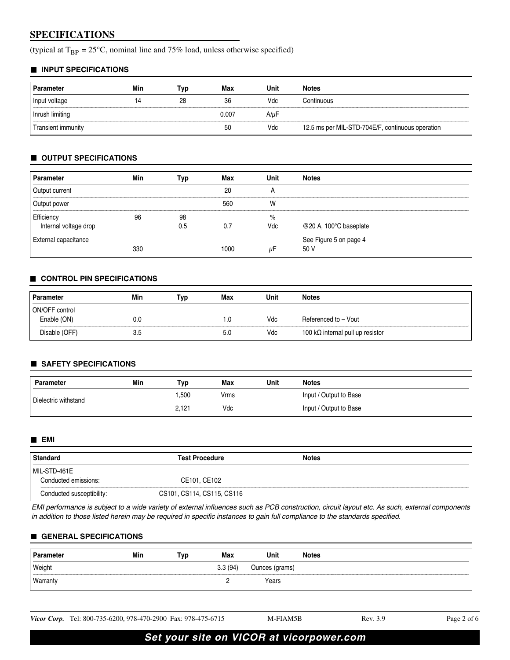# **SPECIFICATIONS**

(typical at  $T_{BP} = 25^{\circ}C$ , nominal line and 75% load, unless otherwise specified)

### **INPUT SPECIFICATIONS**

| <b>Parameter</b>   | Min | Гур | Max   | Unit | <b>Notes</b>                                     |
|--------------------|-----|-----|-------|------|--------------------------------------------------|
| Input voltage      | 14  | 28  | 36    | Vdc  | Continuous                                       |
| Inrush limiting    |     |     | 0.007 | A/uF |                                                  |
| Transient immunity |     |     | 50    | Vdc  | 12.5 ms per MIL-STD-704E/F, continuous operation |

## **OUTPUT SPECIFICATIONS**

| <b>Parameter</b>            | Min | Typ | Max  | Unit | <b>Notes</b>           |
|-----------------------------|-----|-----|------|------|------------------------|
| Output current              |     |     | 20   | A    |                        |
| Output power                |     |     | 560  | W    |                        |
| Efficiency                  | 96  | 98  |      | %    |                        |
| Internal voltage drop       |     | 0.5 | 0.7  | Vdc  | @20 A, 100°C baseplate |
| <b>External capacitance</b> |     |     |      |      | See Figure 5 on page 4 |
|                             | 330 |     | 1000 | μF   | 50 V                   |

### **CONTROL PIN SPECIFICATIONS**

| Parameter      | Min | Тур | Max | Unit | <b>Notes</b>                             |  |
|----------------|-----|-----|-----|------|------------------------------------------|--|
| ON/OFF control |     |     |     |      |                                          |  |
| Enable (ON)    | 0.0 |     | 1.0 | Vdc  | Referenced to - Vout                     |  |
| Disable (OFF)  | 3.5 |     | 5.0 | Vdc  | 100 k $\Omega$ internal pull up resistor |  |

## **SAFETY SPECIFICATIONS**

| Parameter              | Min | Tvp   | Max  | Unit | <b>Notes</b>           |
|------------------------|-----|-------|------|------|------------------------|
| l Dielectric withstand |     | 1.500 | Vrms |      | Input / Output to Base |
|                        |     | 2,121 | Vdc  |      | Input / Output to Base |

#### **EMI**

| <b>Standard</b>           | <b>Test Procedure</b>      | <b>Notes</b> |
|---------------------------|----------------------------|--------------|
| MIL-STD-461E              |                            |              |
| Conducted emissions:      | CE101, CE102               |              |
| Conducted susceptibility: | CS101, CS114, CS115, CS116 |              |

EMI performance is subject to a wide variety of external influences such as PCB construction, circuit layout etc. As such, external components in addition to those listed herein may be required in specific instances to gain full compliance to the standards specified.

### **GENERAL SPECIFICATIONS**

| <b>Parameter</b> | Min | "yp | Max     | Unit           | <b>Notes</b> |
|------------------|-----|-----|---------|----------------|--------------|
| Weight           |     |     | 3.3(94) | Ounces (grams) |              |
| Warranty         |     |     |         | Years          |              |

Vicor Corp. Tel: 800-735-6200, 978-470-2900 Fax: 978-475-6715 M-FIAM5B Rev. 3.9 Rev. 3.9 Page 2 of 6

**Set your site on VICOR at vicorpower.com**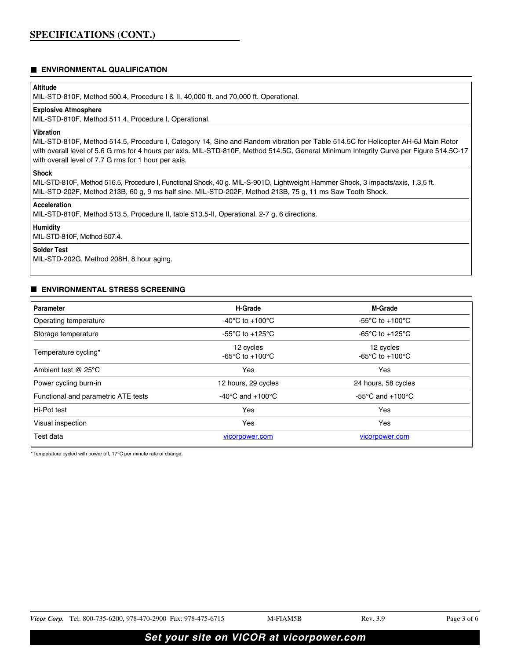# **ENVIRONMENTAL QUALIFICATION**

## **Altitude**

MIL-STD-810F, Method 500.4, Procedure I & II, 40,000 ft. and 70,000 ft. Operational.

## **Explosive Atmosphere**

MIL-STD-810F, Method 511.4, Procedure I, Operational.

## **Vibration**

MIL-STD-810F, Method 514.5, Procedure I, Category 14, Sine and Random vibration per Table 514.5C for Helicopter AH-6J Main Rotor with overall level of 5.6 G rms for 4 hours per axis. MIL-STD-810F, Method 514.5C, General Minimum Integrity Curve per Figure 514.5C-17 with overall level of 7.7 G rms for 1 hour per axis.

### **Shock**

MIL-STD-810F, Method 516.5, Procedure I, Functional Shock, 40 g. MIL-S-901D, Lightweight Hammer Shock, 3 impacts/axis, 1,3,5 ft. MIL-STD-202F, Method 213B, 60 g, 9 ms half sine. MIL-STD-202F, Method 213B, 75 g, 11 ms Saw Tooth Shock.

### **Acceleration**

MIL-STD-810F, Method 513.5, Procedure II, table 513.5-II, Operational, 2-7 g, 6 directions.

### **Humidity**

MIL-STD-810F, Method 507.4.

### **Solder Test**

MIL-STD-202G, Method 208H, 8 hour aging.

### **ENVIRONMENTAL STRESS SCREENING**

| Parameter                           | <b>H-Grade</b>                                        | <b>M-Grade</b>                                   |  |
|-------------------------------------|-------------------------------------------------------|--------------------------------------------------|--|
| Operating temperature               | -40 $^{\circ}$ C to +100 $^{\circ}$ C                 | -55 $\degree$ C to +100 $\degree$ C              |  |
| Storage temperature                 | -55 $\mathrm{^{\circ}C}$ to +125 $\mathrm{^{\circ}C}$ | -65 $\degree$ C to +125 $\degree$ C              |  |
| Temperature cycling*                | 12 cycles<br>-65 $^{\circ}$ C to +100 $^{\circ}$ C    | 12 cycles<br>-65 $\degree$ C to +100 $\degree$ C |  |
| Ambient test $@$ 25 $°C$            | Yes                                                   | Yes                                              |  |
| Power cycling burn-in               | 12 hours, 29 cycles                                   | 24 hours, 58 cycles                              |  |
| Functional and parametric ATE tests | -40 $^{\circ}$ C and +100 $^{\circ}$ C                | $-55^{\circ}$ C and $+100^{\circ}$ C             |  |
| Hi-Pot test                         | Yes                                                   | Yes                                              |  |
| Visual inspection                   | Yes                                                   | Yes                                              |  |
| Test data                           | vicorpower.com                                        | vicorpower.com                                   |  |

\*Temperature cycled with power off, 17°C per minute rate of change.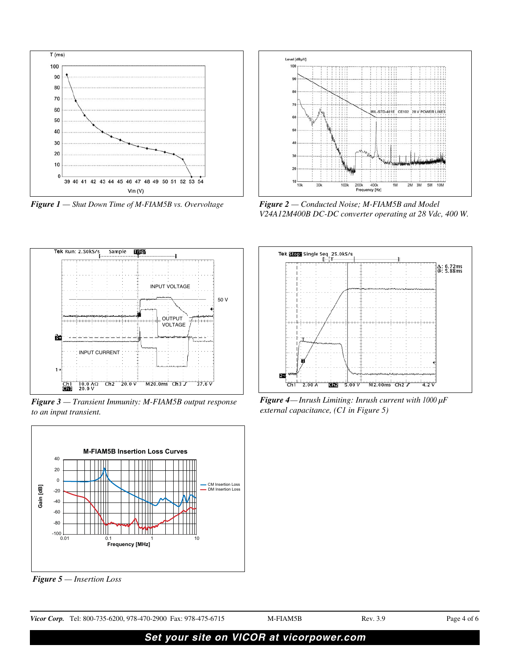

*Figure 1 — Shut Down Time of M-FIAM5B vs. Overvoltage*



*Figure 2 — Conducted Noise; M-FIAM5B and Model V24A12M400B DC-DC converter operating at 28 Vdc, 400 W.* 



*Figure 3 — Transient Immunity: M-FIAM5B output response to an input transient.*



*Figure 5 — Insertion Loss*



*Figure 4— Inrush Limiting: Inrush current with 1000 μF external capacitance, (C1 in Figure 5)*

| Vicor Corp. Tel: 800-735-6200, 978-470-2900 Fax: 978-475-6715 | M-FIAM5B | Rev. 3.9 | Page 4 of 6 |
|---------------------------------------------------------------|----------|----------|-------------|
|                                                               |          |          |             |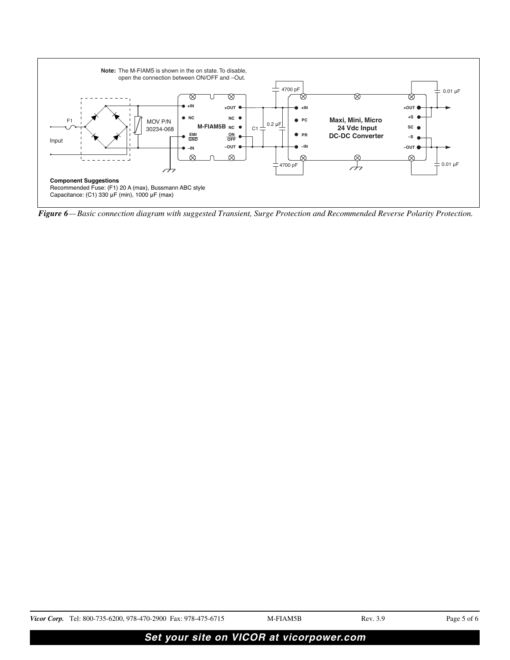

*Figure 6— Basic connection diagram with suggested Transient, Surge Protection and Recommended Reverse Polarity Protection.*

| Vicor Corp. Tel: 800-735-6200, 978-470-2900 Fax: 978-475-6715 | M-FIAM5B | Rev. 3.9 | Page 5 of 6 |
|---------------------------------------------------------------|----------|----------|-------------|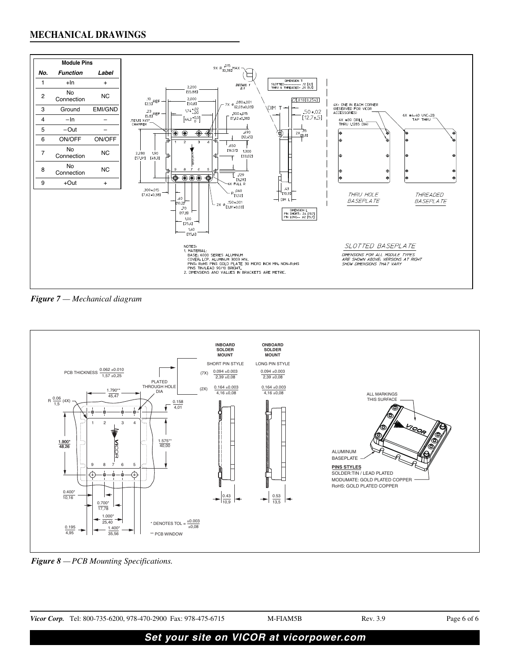

*Figure 7 — Mechanical diagram*



*Figure 8 — PCB Mounting Specifications.*

|                                          | <i>Vicor Corp.</i> Tel: 800-735-6200, 978-470-2900 Fax: 978-475-6715 | M-FIAM5B | Rev. 3.9 | Page 6 of 6 |
|------------------------------------------|----------------------------------------------------------------------|----------|----------|-------------|
| Set your site on VICOR at vicorpower.com |                                                                      |          |          |             |